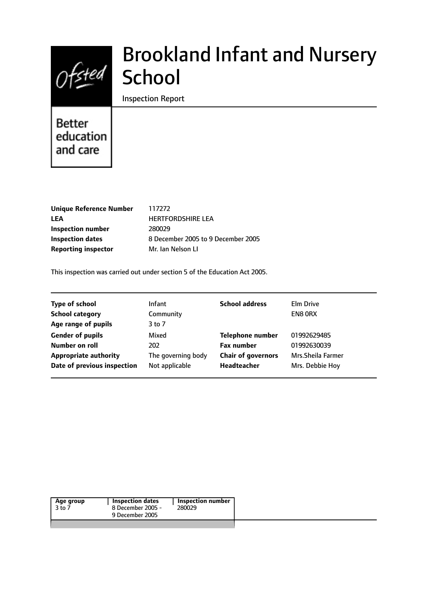

# Brookland Infant and Nursery **School**

Inspection Report

# **Better** education and care

| <b>Unique Reference Numbe</b> |
|-------------------------------|
| LEA                           |
| Inspection number             |
| <b>Inspection dates</b>       |
| <b>Reporting inspector</b>    |

**Unique Reference Number** 117272 **LEA** HERTFORDSHIRE LEA **Inspection number** 280029 **Inspection dates** 8 December 2005 to 9 December 2005 **Reporting inspector** Mr. Ian Nelson LI

This inspection was carried out under section 5 of the Education Act 2005.

| <b>Infant</b>      | <b>School address</b>     | <b>Elm Drive</b>   |
|--------------------|---------------------------|--------------------|
| Community          |                           | EN8 ORX            |
| 3 to 7             |                           |                    |
| Mixed              | <b>Telephone number</b>   | 01992629485        |
| 202                | <b>Fax number</b>         | 01992630039        |
| The governing body | <b>Chair of governors</b> | Mrs. Sheila Farmer |
| Not applicable     | Headteacher               | Mrs. Debbie Hoy    |
|                    |                           |                    |

| 3 to 7 | 8 December 2005 - | 280029 |
|--------|-------------------|--------|
|        | 9 December 2005   |        |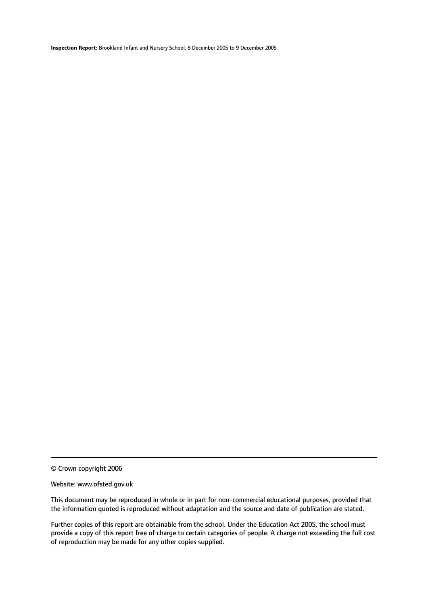© Crown copyright 2006

#### Website: www.ofsted.gov.uk

This document may be reproduced in whole or in part for non-commercial educational purposes, provided that the information quoted is reproduced without adaptation and the source and date of publication are stated.

Further copies of this report are obtainable from the school. Under the Education Act 2005, the school must provide a copy of this report free of charge to certain categories of people. A charge not exceeding the full cost of reproduction may be made for any other copies supplied.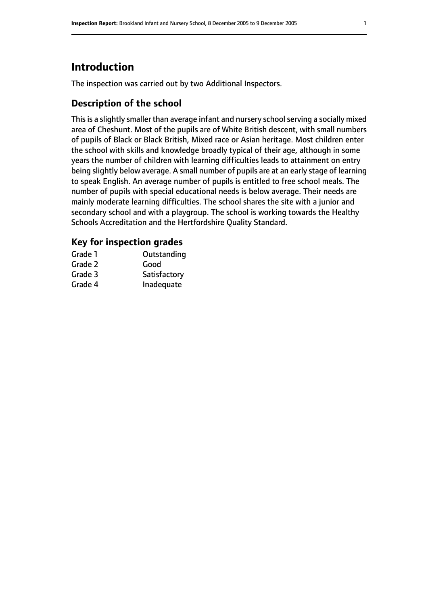# **Introduction**

The inspection was carried out by two Additional Inspectors.

# **Description of the school**

This is a slightly smaller than average infant and nursery school serving a socially mixed area of Cheshunt. Most of the pupils are of White British descent, with small numbers of pupils of Black or Black British, Mixed race or Asian heritage. Most children enter the school with skills and knowledge broadly typical of their age, although in some years the number of children with learning difficulties leads to attainment on entry being slightly below average. A small number of pupils are at an early stage of learning to speak English. An average number of pupils is entitled to free school meals. The number of pupils with special educational needs is below average. Their needs are mainly moderate learning difficulties. The school shares the site with a junior and secondary school and with a playgroup. The school is working towards the Healthy Schools Accreditation and the Hertfordshire Quality Standard.

# **Key for inspection grades**

| Grade 1 | Outstanding  |
|---------|--------------|
| Grade 2 | Good         |
| Grade 3 | Satisfactory |
| Grade 4 | Inadequate   |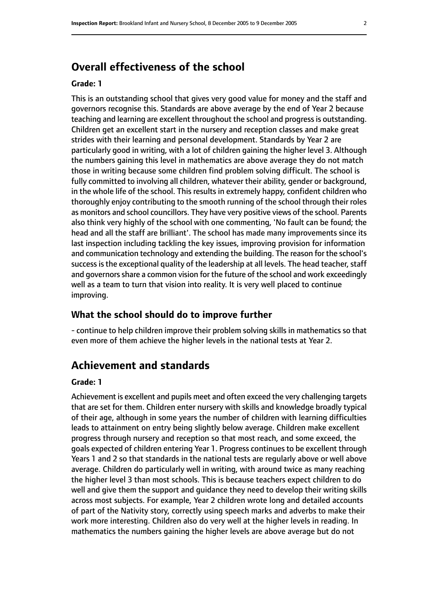# **Overall effectiveness of the school**

#### **Grade: 1**

This is an outstanding school that gives very good value for money and the staff and governors recognise this. Standards are above average by the end of Year 2 because teaching and learning are excellent throughout the school and progressis outstanding. Children get an excellent start in the nursery and reception classes and make great strides with their learning and personal development. Standards by Year 2 are particularly good in writing, with a lot of children gaining the higher level 3. Although the numbers gaining this level in mathematics are above average they do not match those in writing because some children find problem solving difficult. The school is fully committed to involving all children, whatever their ability, gender or background, in the whole life of the school. This results in extremely happy, confident children who thoroughly enjoy contributing to the smooth running of the school through their roles as monitors and school councillors. They have very positive views of the school. Parents also think very highly of the school with one commenting, 'No fault can be found; the head and all the staff are brilliant'. The school has made many improvements since its last inspection including tackling the key issues, improving provision for information and communication technology and extending the building. The reason for the school's success is the exceptional quality of the leadership at all levels. The head teacher, staff and governors share a common vision for the future of the school and work exceedingly well as a team to turn that vision into reality. It is very well placed to continue improving.

#### **What the school should do to improve further**

- continue to help children improve their problem solving skills in mathematics so that even more of them achieve the higher levels in the national tests at Year 2.

# **Achievement and standards**

#### **Grade: 1**

Achievement is excellent and pupils meet and often exceed the very challenging targets that are set for them. Children enter nursery with skills and knowledge broadly typical of their age, although in some years the number of children with learning difficulties leads to attainment on entry being slightly below average. Children make excellent progress through nursery and reception so that most reach, and some exceed, the goals expected of children entering Year 1. Progress continues to be excellent through Years 1 and 2 so that standards in the national tests are regularly above or well above average. Children do particularly well in writing, with around twice as many reaching the higher level 3 than most schools. This is because teachers expect children to do well and give them the support and guidance they need to develop their writing skills across most subjects. For example, Year 2 children wrote long and detailed accounts of part of the Nativity story, correctly using speech marks and adverbs to make their work more interesting. Children also do very well at the higher levels in reading. In mathematics the numbers gaining the higher levels are above average but do not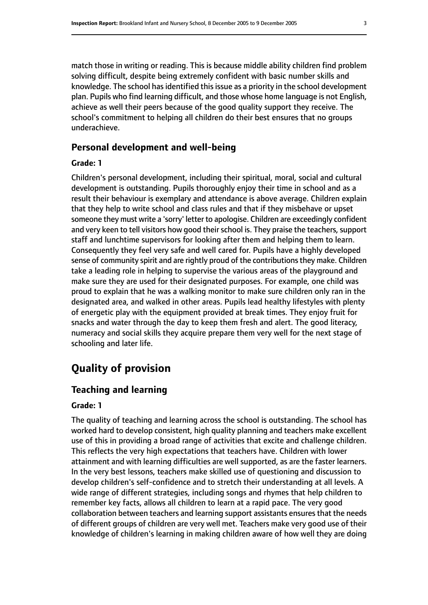match those in writing or reading. This is because middle ability children find problem solving difficult, despite being extremely confident with basic number skills and knowledge. The school has identified this issue as a priority in the school development plan. Pupils who find learning difficult, and those whose home language is not English, achieve as well their peers because of the good quality support they receive. The school's commitment to helping all children do their best ensures that no groups underachieve.

#### **Personal development and well-being**

#### **Grade: 1**

Children's personal development, including their spiritual, moral, social and cultural development is outstanding. Pupils thoroughly enjoy their time in school and as a result their behaviour is exemplary and attendance is above average. Children explain that they help to write school and class rules and that if they misbehave or upset someone they must write a 'sorry' letter to apologise. Children are exceedingly confident and very keen to tell visitors how good their school is. They praise the teachers, support staff and lunchtime supervisors for looking after them and helping them to learn. Consequently they feel very safe and well cared for. Pupils have a highly developed sense of community spirit and are rightly proud of the contributions they make. Children take a leading role in helping to supervise the various areas of the playground and make sure they are used for their designated purposes. For example, one child was proud to explain that he was a walking monitor to make sure children only ran in the designated area, and walked in other areas. Pupils lead healthy lifestyles with plenty of energetic play with the equipment provided at break times. They enjoy fruit for snacks and water through the day to keep them fresh and alert. The good literacy, numeracy and social skills they acquire prepare them very well for the next stage of schooling and later life.

# **Quality of provision**

### **Teaching and learning**

#### **Grade: 1**

The quality of teaching and learning across the school is outstanding. The school has worked hard to develop consistent, high quality planning and teachers make excellent use of this in providing a broad range of activities that excite and challenge children. This reflects the very high expectations that teachers have. Children with lower attainment and with learning difficulties are well supported, as are the faster learners. In the very best lessons, teachers make skilled use of questioning and discussion to develop children's self-confidence and to stretch their understanding at all levels. A wide range of different strategies, including songs and rhymes that help children to remember key facts, allows all children to learn at a rapid pace. The very good collaboration between teachers and learning support assistants ensures that the needs of different groups of children are very well met. Teachers make very good use of their knowledge of children's learning in making children aware of how well they are doing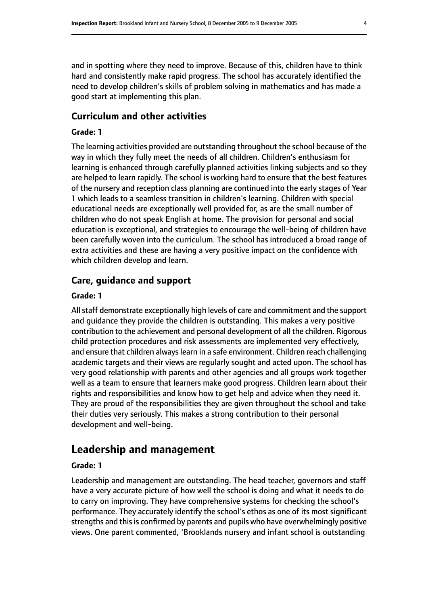and in spotting where they need to improve. Because of this, children have to think hard and consistently make rapid progress. The school has accurately identified the need to develop children's skills of problem solving in mathematics and has made a good start at implementing this plan.

## **Curriculum and other activities**

#### **Grade: 1**

The learning activities provided are outstanding throughout the school because of the way in which they fully meet the needs of all children. Children's enthusiasm for learning is enhanced through carefully planned activities linking subjects and so they are helped to learn rapidly. The school is working hard to ensure that the best features of the nursery and reception class planning are continued into the early stages of Year 1 which leads to a seamless transition in children's learning. Children with special educational needs are exceptionally well provided for, as are the small number of children who do not speak English at home. The provision for personal and social education is exceptional, and strategies to encourage the well-being of children have been carefully woven into the curriculum. The school has introduced a broad range of extra activities and these are having a very positive impact on the confidence with which children develop and learn.

#### **Care, guidance and support**

#### **Grade: 1**

Allstaff demonstrate exceptionally high levels of care and commitment and the support and guidance they provide the children is outstanding. This makes a very positive contribution to the achievement and personal development of all the children. Rigorous child protection procedures and risk assessments are implemented very effectively, and ensure that children always learn in a safe environment. Children reach challenging academic targets and their views are regularly sought and acted upon. The school has very good relationship with parents and other agencies and all groups work together well as a team to ensure that learners make good progress. Children learn about their rights and responsibilities and know how to get help and advice when they need it. They are proud of the responsibilities they are given throughout the school and take their duties very seriously. This makes a strong contribution to their personal development and well-being.

# **Leadership and management**

#### **Grade: 1**

Leadership and management are outstanding. The head teacher, governors and staff have a very accurate picture of how well the school is doing and what it needs to do to carry on improving. They have comprehensive systems for checking the school's performance. They accurately identify the school's ethos as one of its most significant strengths and this is confirmed by parents and pupils who have overwhelmingly positive views. One parent commented, 'Brooklands nursery and infant school is outstanding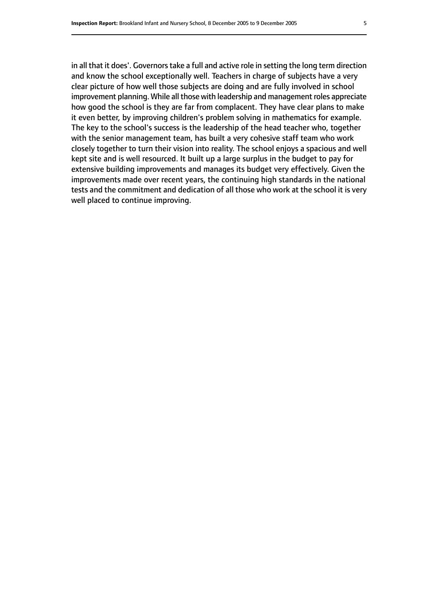in all that it does'. Governors take a full and active role in setting the long term direction and know the school exceptionally well. Teachers in charge of subjects have a very clear picture of how well those subjects are doing and are fully involved in school improvement planning. While all those with leadership and management roles appreciate how good the school is they are far from complacent. They have clear plans to make it even better, by improving children's problem solving in mathematics for example. The key to the school's success is the leadership of the head teacher who, together with the senior management team, has built a very cohesive staff team who work closely together to turn their vision into reality. The school enjoys a spacious and well kept site and is well resourced. It built up a large surplus in the budget to pay for extensive building improvements and manages its budget very effectively. Given the improvements made over recent years, the continuing high standards in the national tests and the commitment and dedication of all those who work at the school it is very well placed to continue improving.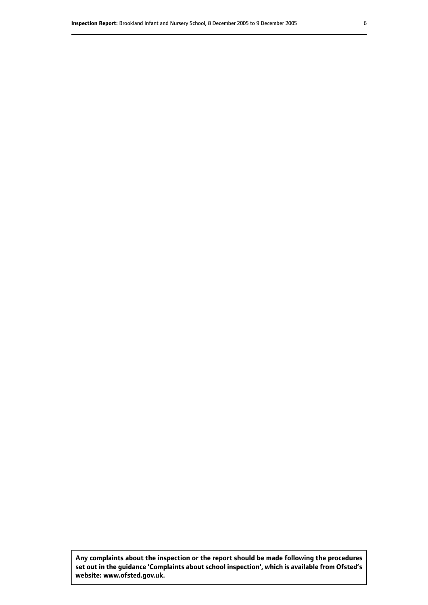**Any complaints about the inspection or the report should be made following the procedures set out inthe guidance 'Complaints about school inspection', whichis available from Ofsted's website: www.ofsted.gov.uk.**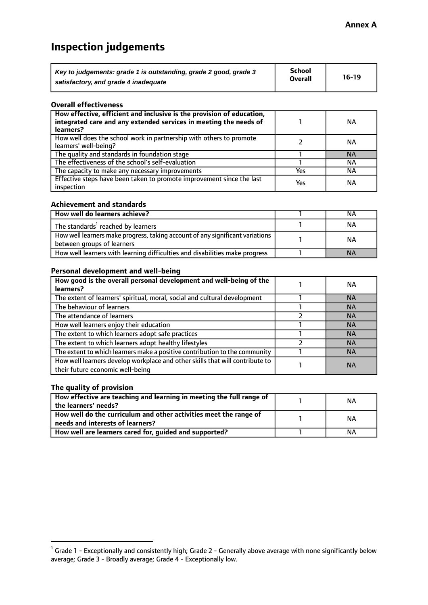# **Inspection judgements**

| Key to judgements: grade 1 is outstanding, grade 2 good, grade 3 | School<br><b>Overall</b> | $16-19$ |
|------------------------------------------------------------------|--------------------------|---------|
| satisfactory, and grade 4 inadequate                             |                          |         |

#### **Overall effectiveness**

| How effective, efficient and inclusive is the provision of education,<br>integrated care and any extended services in meeting the needs of<br>learners? |     | <b>NA</b> |
|---------------------------------------------------------------------------------------------------------------------------------------------------------|-----|-----------|
| How well does the school work in partnership with others to promote<br>learners' well-being?                                                            |     | ΝA        |
| The quality and standards in foundation stage                                                                                                           |     | <b>NA</b> |
| The effectiveness of the school's self-evaluation                                                                                                       |     | ΝA        |
| The capacity to make any necessary improvements                                                                                                         | Yes | NА        |
| Effective steps have been taken to promote improvement since the last<br>inspection                                                                     | Yes | ΝA        |

#### **Achievement and standards**

| How well do learners achieve?                                                                               | NА        |
|-------------------------------------------------------------------------------------------------------------|-----------|
| The standards <sup>1</sup> reached by learners                                                              | ΝA        |
| How well learners make progress, taking account of any significant variations<br>between groups of learners | <b>NA</b> |
| How well learners with learning difficulties and disabilities make progress                                 | <b>NA</b> |

#### **Personal development and well-being**

| How good is the overall personal development and well-being of the<br>learners?                                  | ΝA        |
|------------------------------------------------------------------------------------------------------------------|-----------|
| The extent of learners' spiritual, moral, social and cultural development                                        | <b>NA</b> |
| The behaviour of learners                                                                                        | <b>NA</b> |
| The attendance of learners                                                                                       | <b>NA</b> |
| How well learners enjoy their education                                                                          | <b>NA</b> |
| The extent to which learners adopt safe practices                                                                | <b>NA</b> |
| The extent to which learners adopt healthy lifestyles                                                            | <b>NA</b> |
| The extent to which learners make a positive contribution to the community                                       | <b>NA</b> |
| How well learners develop workplace and other skills that will contribute to<br>their future economic well-being | <b>NA</b> |

## **The quality of provision**

| How effective are teaching and learning in meeting the full range of<br>the learners' needs?          | ΝA |
|-------------------------------------------------------------------------------------------------------|----|
| How well do the curriculum and other activities meet the range of<br>needs and interests of learners? | ΝA |
| How well are learners cared for, guided and supported?                                                | NА |

 $^1$  Grade 1 - Exceptionally and consistently high; Grade 2 - Generally above average with none significantly below average; Grade 3 - Broadly average; Grade 4 - Exceptionally low.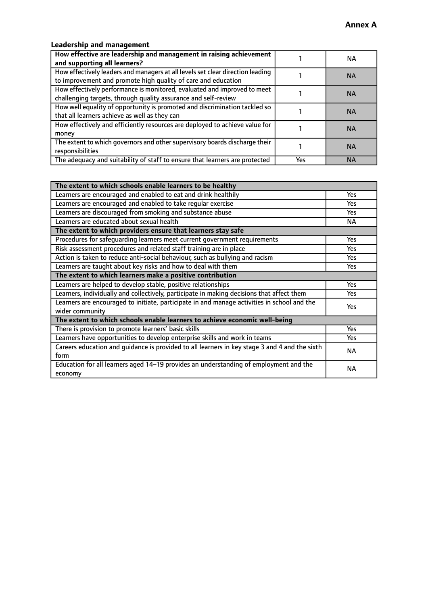# **Leadership and management**

| How effective are leadership and management in raising achievement<br>and supporting all learners?                                              |     | NA.       |
|-------------------------------------------------------------------------------------------------------------------------------------------------|-----|-----------|
| How effectively leaders and managers at all levels set clear direction leading<br>to improvement and promote high quality of care and education |     | <b>NA</b> |
| How effectively performance is monitored, evaluated and improved to meet<br>challenging targets, through quality assurance and self-review      |     | <b>NA</b> |
| How well equality of opportunity is promoted and discrimination tackled so<br>that all learners achieve as well as they can                     |     | <b>NA</b> |
| How effectively and efficiently resources are deployed to achieve value for<br>money                                                            |     | <b>NA</b> |
| The extent to which governors and other supervisory boards discharge their<br>responsibilities                                                  |     | <b>NA</b> |
| The adequacy and suitability of staff to ensure that learners are protected                                                                     | Yes | <b>NA</b> |

| The extent to which schools enable learners to be healthy                                     |            |  |
|-----------------------------------------------------------------------------------------------|------------|--|
| Learners are encouraged and enabled to eat and drink healthily                                | Yes        |  |
| Learners are encouraged and enabled to take regular exercise                                  | <b>Yes</b> |  |
| Learners are discouraged from smoking and substance abuse                                     | Yes        |  |
| Learners are educated about sexual health                                                     | <b>NA</b>  |  |
| The extent to which providers ensure that learners stay safe                                  |            |  |
| Procedures for safequarding learners meet current government requirements                     | Yes        |  |
| Risk assessment procedures and related staff training are in place                            | <b>Yes</b> |  |
| Action is taken to reduce anti-social behaviour, such as bullying and racism                  | <b>Yes</b> |  |
| Learners are taught about key risks and how to deal with them                                 | Yes        |  |
| The extent to which learners make a positive contribution                                     |            |  |
| Learners are helped to develop stable, positive relationships                                 | Yes        |  |
| Learners, individually and collectively, participate in making decisions that affect them     | Yes        |  |
| Learners are encouraged to initiate, participate in and manage activities in school and the   | <b>Yes</b> |  |
| wider community                                                                               |            |  |
| The extent to which schools enable learners to achieve economic well-being                    |            |  |
| There is provision to promote learners' basic skills                                          | Yes        |  |
| Learners have opportunities to develop enterprise skills and work in teams                    | Yes        |  |
| Careers education and guidance is provided to all learners in key stage 3 and 4 and the sixth | <b>NA</b>  |  |
| form                                                                                          |            |  |
| Education for all learners aged 14-19 provides an understanding of employment and the         | NА         |  |
| economy                                                                                       |            |  |